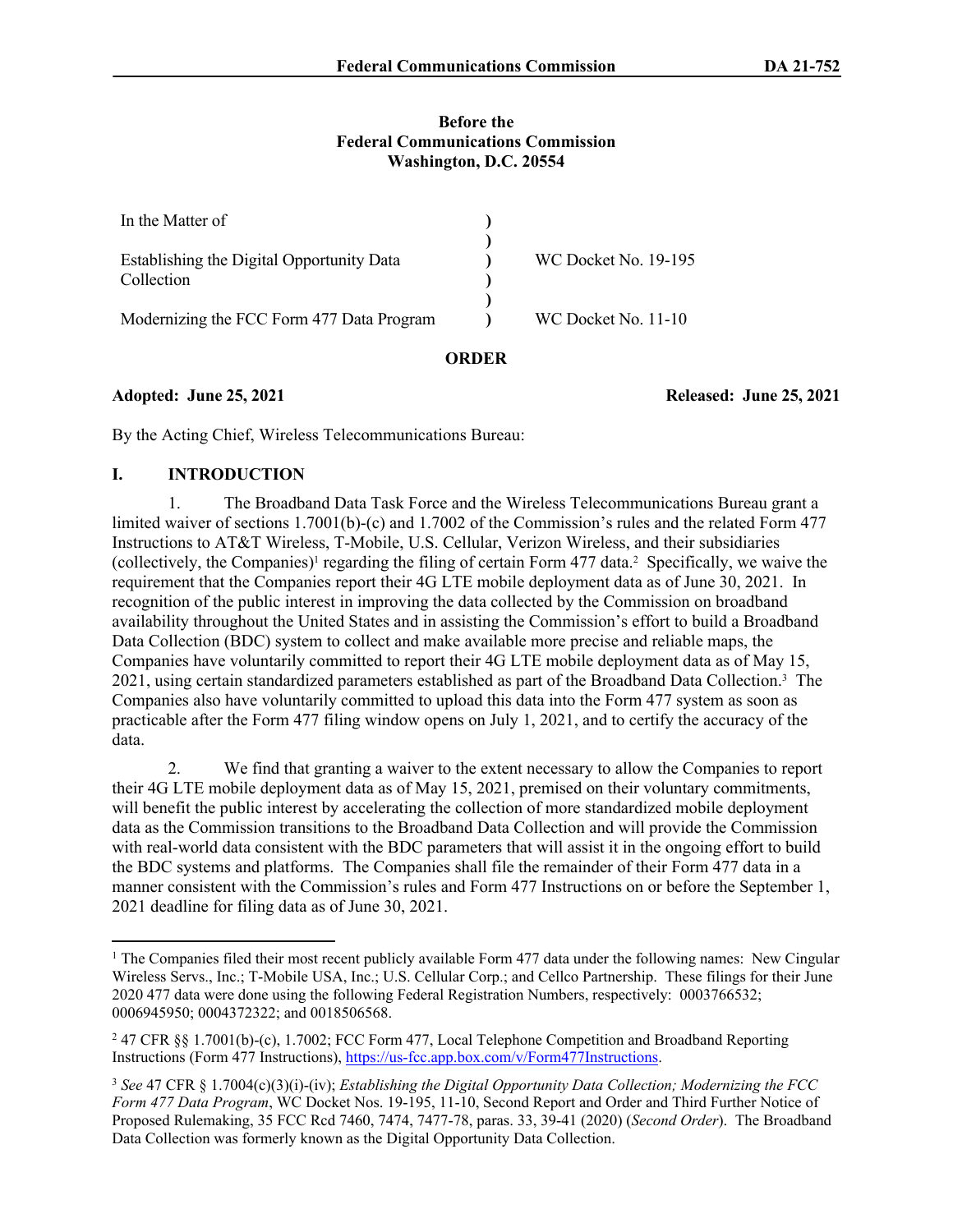## **Before the Federal Communications Commission Washington, D.C. 20554**

| In the Matter of                                        |                      |
|---------------------------------------------------------|----------------------|
| Establishing the Digital Opportunity Data<br>Collection | WC Docket No. 19-195 |
| Modernizing the FCC Form 477 Data Program               | WC Docket No. 11-10  |

## **ORDER**

**Adopted: June 25, 2021 Released: June 25, 2021**

By the Acting Chief, Wireless Telecommunications Bureau:

# **I. INTRODUCTION**

1. The Broadband Data Task Force and the Wireless Telecommunications Bureau grant a limited waiver of sections 1.7001(b)-(c) and 1.7002 of the Commission's rules and the related Form 477 Instructions to AT&T Wireless, T-Mobile, U.S. Cellular, Verizon Wireless, and their subsidiaries (collectively, the Companies)<sup>1</sup> regarding the filing of certain Form 477 data.<sup>2</sup> Specifically, we waive the requirement that the Companies report their 4G LTE mobile deployment data as of June 30, 2021. In recognition of the public interest in improving the data collected by the Commission on broadband availability throughout the United States and in assisting the Commission's effort to build a Broadband Data Collection (BDC) system to collect and make available more precise and reliable maps, the Companies have voluntarily committed to report their 4G LTE mobile deployment data as of May 15, 2021, using certain standardized parameters established as part of the Broadband Data Collection.<sup>3</sup> The Companies also have voluntarily committed to upload this data into the Form 477 system as soon as practicable after the Form 477 filing window opens on July 1, 2021, and to certify the accuracy of the data.

2. We find that granting a waiver to the extent necessary to allow the Companies to report their 4G LTE mobile deployment data as of May 15, 2021, premised on their voluntary commitments, will benefit the public interest by accelerating the collection of more standardized mobile deployment data as the Commission transitions to the Broadband Data Collection and will provide the Commission with real-world data consistent with the BDC parameters that will assist it in the ongoing effort to build the BDC systems and platforms. The Companies shall file the remainder of their Form 477 data in a manner consistent with the Commission's rules and Form 477 Instructions on or before the September 1, 2021 deadline for filing data as of June 30, 2021.

<sup>&</sup>lt;sup>1</sup> The Companies filed their most recent publicly available Form 477 data under the following names: New Cingular Wireless Servs., Inc.; T-Mobile USA, Inc.; U.S. Cellular Corp.; and Cellco Partnership. These filings for their June 2020 477 data were done using the following Federal Registration Numbers, respectively: 0003766532; 0006945950; 0004372322; and 0018506568.

<sup>2</sup> 47 CFR §§ 1.7001(b)-(c), 1.7002; FCC Form 477, Local Telephone Competition and Broadband Reporting Instructions (Form 477 Instructions),<https://us-fcc.app.box.com/v/Form477Instructions>.

<sup>3</sup> *See* 47 CFR § 1.7004(c)(3)(i)-(iv); *Establishing the Digital Opportunity Data Collection; Modernizing the FCC Form 477 Data Program*, WC Docket Nos. 19-195, 11-10, Second Report and Order and Third Further Notice of Proposed Rulemaking, 35 FCC Rcd 7460, 7474, 7477-78, paras. 33, 39-41 (2020) (*Second Order*). The Broadband Data Collection was formerly known as the Digital Opportunity Data Collection.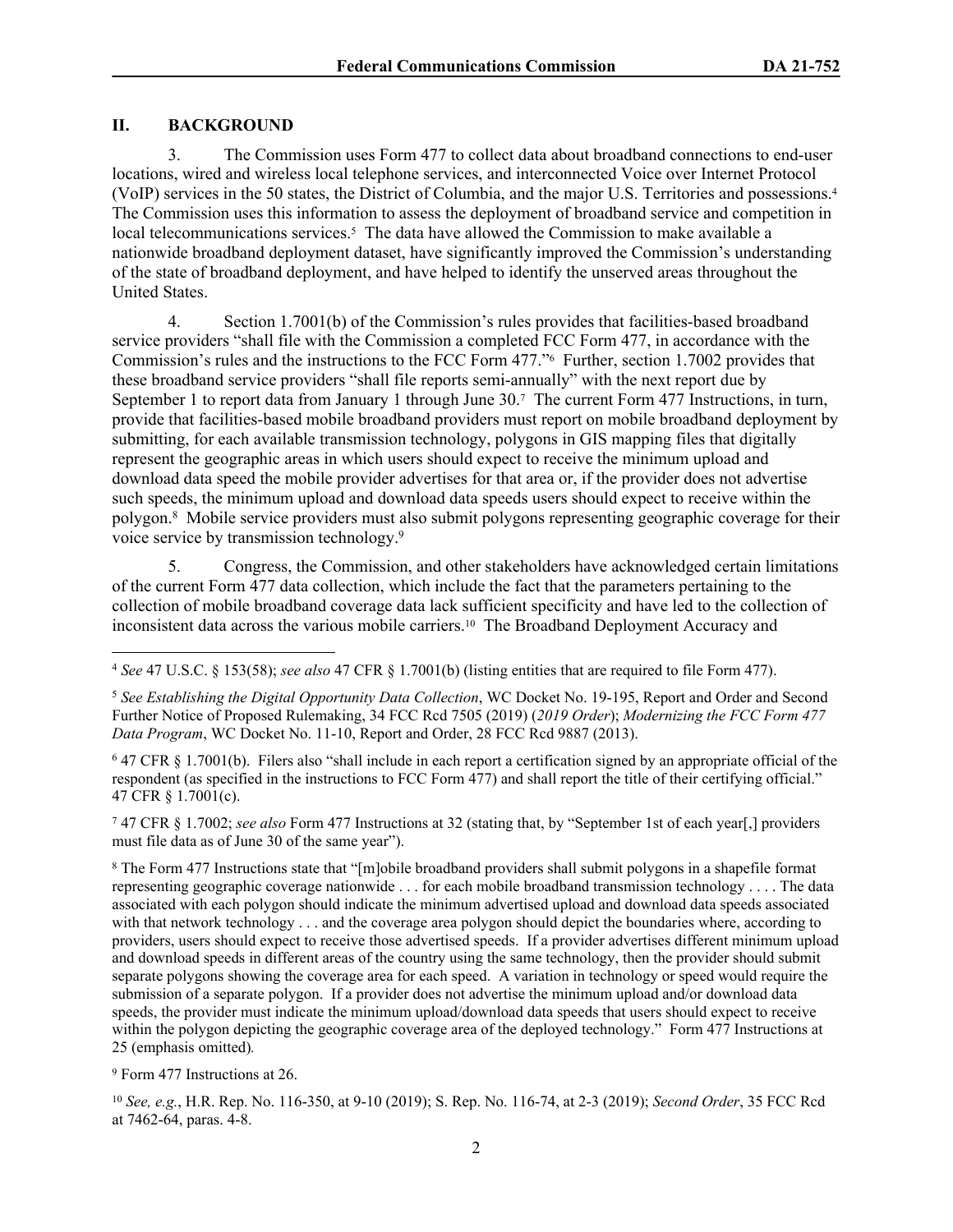## **II. BACKGROUND**

3. The Commission uses Form 477 to collect data about broadband connections to end-user locations, wired and wireless local telephone services, and interconnected Voice over Internet Protocol (VoIP) services in the 50 states, the District of Columbia, and the major U.S. Territories and possessions.<sup>4</sup> The Commission uses this information to assess the deployment of broadband service and competition in local telecommunications services.<sup>5</sup> The data have allowed the Commission to make available a nationwide broadband deployment dataset, have significantly improved the Commission's understanding of the state of broadband deployment, and have helped to identify the unserved areas throughout the United States.

4. Section 1.7001(b) of the Commission's rules provides that facilities-based broadband service providers "shall file with the Commission a completed FCC Form 477, in accordance with the Commission's rules and the instructions to the FCC Form 477."<sup>6</sup> Further, section 1.7002 provides that these broadband service providers "shall file reports semi-annually" with the next report due by September 1 to report data from January 1 through June 30.7 The current Form 477 Instructions, in turn, provide that facilities-based mobile broadband providers must report on mobile broadband deployment by submitting, for each available transmission technology, polygons in GIS mapping files that digitally represent the geographic areas in which users should expect to receive the minimum upload and download data speed the mobile provider advertises for that area or, if the provider does not advertise such speeds, the minimum upload and download data speeds users should expect to receive within the polygon.<sup>8</sup> Mobile service providers must also submit polygons representing geographic coverage for their voice service by transmission technology.<sup>9</sup>

5. Congress, the Commission, and other stakeholders have acknowledged certain limitations of the current Form 477 data collection, which include the fact that the parameters pertaining to the collection of mobile broadband coverage data lack sufficient specificity and have led to the collection of inconsistent data across the various mobile carriers.<sup>10</sup> The Broadband Deployment Accuracy and

7 47 CFR § 1.7002; *see also* Form 477 Instructions at 32 (stating that, by "September 1st of each year[,] providers must file data as of June 30 of the same year").

8 The Form 477 Instructions state that "[m]obile broadband providers shall submit polygons in a shapefile format representing geographic coverage nationwide . . . for each mobile broadband transmission technology . . . . The data associated with each polygon should indicate the minimum advertised upload and download data speeds associated with that network technology . . . and the coverage area polygon should depict the boundaries where, according to providers, users should expect to receive those advertised speeds. If a provider advertises different minimum upload and download speeds in different areas of the country using the same technology, then the provider should submit separate polygons showing the coverage area for each speed. A variation in technology or speed would require the submission of a separate polygon. If a provider does not advertise the minimum upload and/or download data speeds, the provider must indicate the minimum upload/download data speeds that users should expect to receive within the polygon depicting the geographic coverage area of the deployed technology." Form 477 Instructions at 25 (emphasis omitted)*.*

9 Form 477 Instructions at 26.

<sup>10</sup> *See, e.g.*, H.R. Rep. No. 116-350, at 9-10 (2019); S. Rep. No. 116-74, at 2-3 (2019); *Second Order*, 35 FCC Rcd at 7462-64, paras. 4-8.

<sup>4</sup> *See* 47 U.S.C. § 153(58); *see also* 47 CFR § 1.7001(b) (listing entities that are required to file Form 477).

<sup>5</sup> *See Establishing the Digital Opportunity Data Collection*, WC Docket No. 19-195, Report and Order and Second Further Notice of Proposed Rulemaking, 34 FCC Rcd 7505 (2019) (*2019 Order*); *Modernizing the FCC Form 477 Data Program*, WC Docket No. 11-10, Report and Order, 28 FCC Rcd 9887 (2013).

<sup>6</sup> 47 CFR § 1.7001(b). Filers also "shall include in each report a certification signed by an appropriate official of the respondent (as specified in the instructions to FCC Form 477) and shall report the title of their certifying official." 47 CFR § 1.7001(c).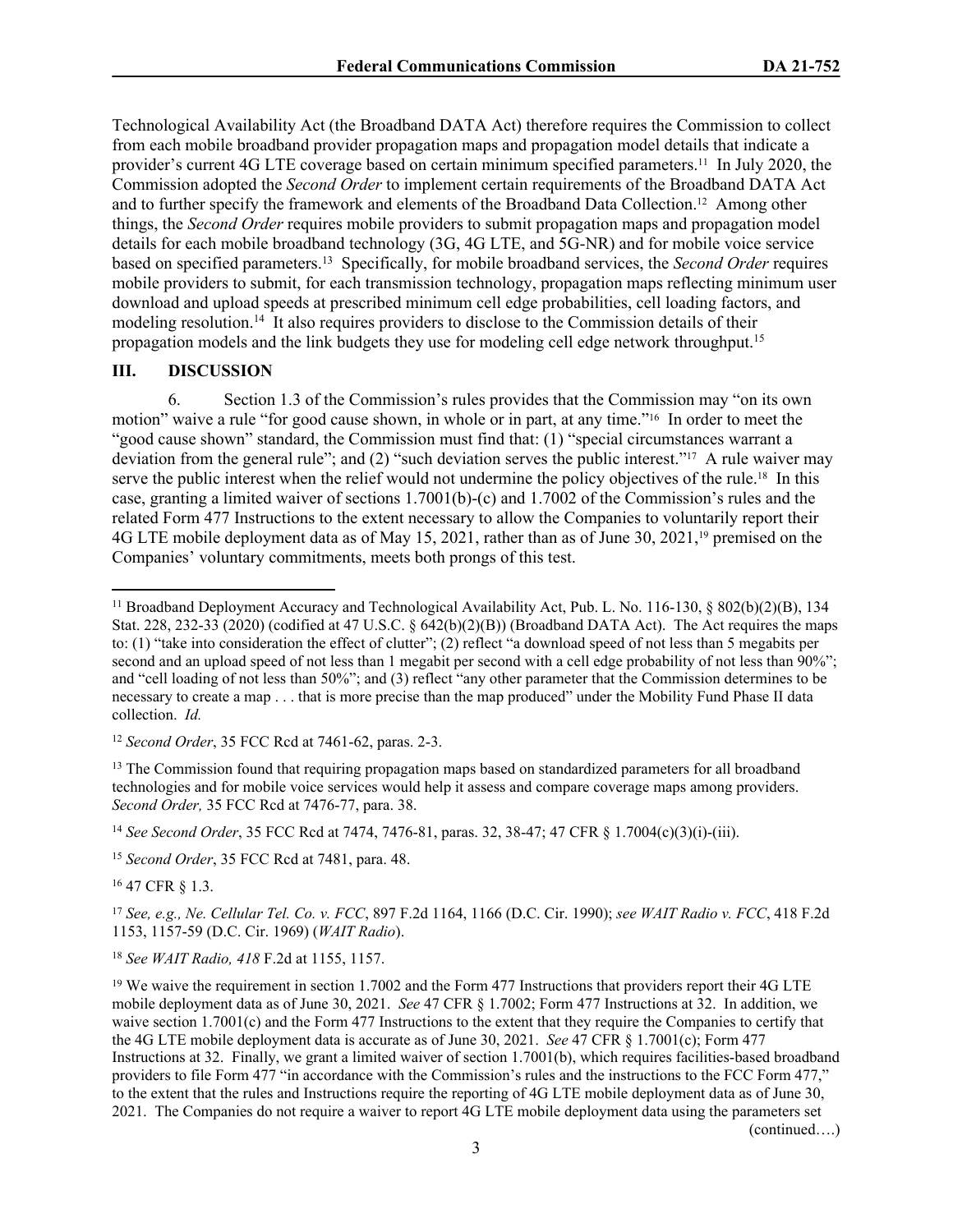Technological Availability Act (the Broadband DATA Act) therefore requires the Commission to collect from each mobile broadband provider propagation maps and propagation model details that indicate a provider's current 4G LTE coverage based on certain minimum specified parameters.11 In July 2020, the Commission adopted the *Second Order* to implement certain requirements of the Broadband DATA Act and to further specify the framework and elements of the Broadband Data Collection.12 Among other things, the *Second Order* requires mobile providers to submit propagation maps and propagation model details for each mobile broadband technology (3G, 4G LTE, and 5G-NR) and for mobile voice service based on specified parameters.<sup>13</sup> Specifically, for mobile broadband services, the *Second Order* requires mobile providers to submit, for each transmission technology, propagation maps reflecting minimum user download and upload speeds at prescribed minimum cell edge probabilities, cell loading factors, and modeling resolution.<sup>14</sup> It also requires providers to disclose to the Commission details of their propagation models and the link budgets they use for modeling cell edge network throughput.<sup>15</sup>

### **III. DISCUSSION**

6. Section 1.3 of the Commission's rules provides that the Commission may "on its own motion" waive a rule "for good cause shown, in whole or in part, at any time."16 In order to meet the "good cause shown" standard, the Commission must find that: (1) "special circumstances warrant a deviation from the general rule"; and (2) "such deviation serves the public interest."<sup>17</sup> A rule waiver may serve the public interest when the relief would not undermine the policy objectives of the rule.<sup>18</sup> In this case, granting a limited waiver of sections 1.7001(b)-(c) and 1.7002 of the Commission's rules and the related Form 477 Instructions to the extent necessary to allow the Companies to voluntarily report their 4G LTE mobile deployment data as of May 15, 2021, rather than as of June 30, 2021,19 premised on the Companies' voluntary commitments, meets both prongs of this test.

<sup>14</sup> *See Second Order*, 35 FCC Rcd at 7474, 7476-81, paras. 32, 38-47; 47 CFR § 1.7004(c)(3)(i)-(iii).

<sup>15</sup> *Second Order*, 35 FCC Rcd at 7481, para. 48.

<sup>16</sup> 47 CFR § 1.3.

<sup>17</sup> *See, e.g., Ne. Cellular Tel. Co. v. FCC*, 897 F.2d 1164, 1166 (D.C. Cir. 1990); *see WAIT Radio v. FCC*, 418 F.2d 1153, 1157-59 (D.C. Cir. 1969) (*WAIT Radio*).

<sup>18</sup> *See WAIT Radio, 418* F.2d at 1155, 1157.

(continued….)

<sup>11</sup> Broadband Deployment Accuracy and Technological Availability Act, Pub. L. No. 116-130, § 802(b)(2)(B), 134 Stat. 228, 232-33 (2020) (codified at 47 U.S.C. § 642(b)(2)(B)) (Broadband DATA Act). The Act requires the maps to: (1) "take into consideration the effect of clutter"; (2) reflect "a download speed of not less than 5 megabits per second and an upload speed of not less than 1 megabit per second with a cell edge probability of not less than 90%"; and "cell loading of not less than 50%"; and (3) reflect "any other parameter that the Commission determines to be necessary to create a map . . . that is more precise than the map produced" under the Mobility Fund Phase II data collection. *Id.*

<sup>12</sup> *Second Order*, 35 FCC Rcd at 7461-62, paras. 2-3.

<sup>&</sup>lt;sup>13</sup> The Commission found that requiring propagation maps based on standardized parameters for all broadband technologies and for mobile voice services would help it assess and compare coverage maps among providers. *Second Order,* 35 FCC Rcd at 7476-77, para. 38.

<sup>&</sup>lt;sup>19</sup> We waive the requirement in section 1.7002 and the Form 477 Instructions that providers report their 4G LTE mobile deployment data as of June 30, 2021. *See* 47 CFR § 1.7002; Form 477 Instructions at 32. In addition, we waive section 1.7001(c) and the Form 477 Instructions to the extent that they require the Companies to certify that the 4G LTE mobile deployment data is accurate as of June 30, 2021. *See* 47 CFR § 1.7001(c); Form 477 Instructions at 32. Finally, we grant a limited waiver of section 1.7001(b), which requires facilities-based broadband providers to file Form 477 "in accordance with the Commission's rules and the instructions to the FCC Form 477," to the extent that the rules and Instructions require the reporting of 4G LTE mobile deployment data as of June 30, 2021. The Companies do not require a waiver to report 4G LTE mobile deployment data using the parameters set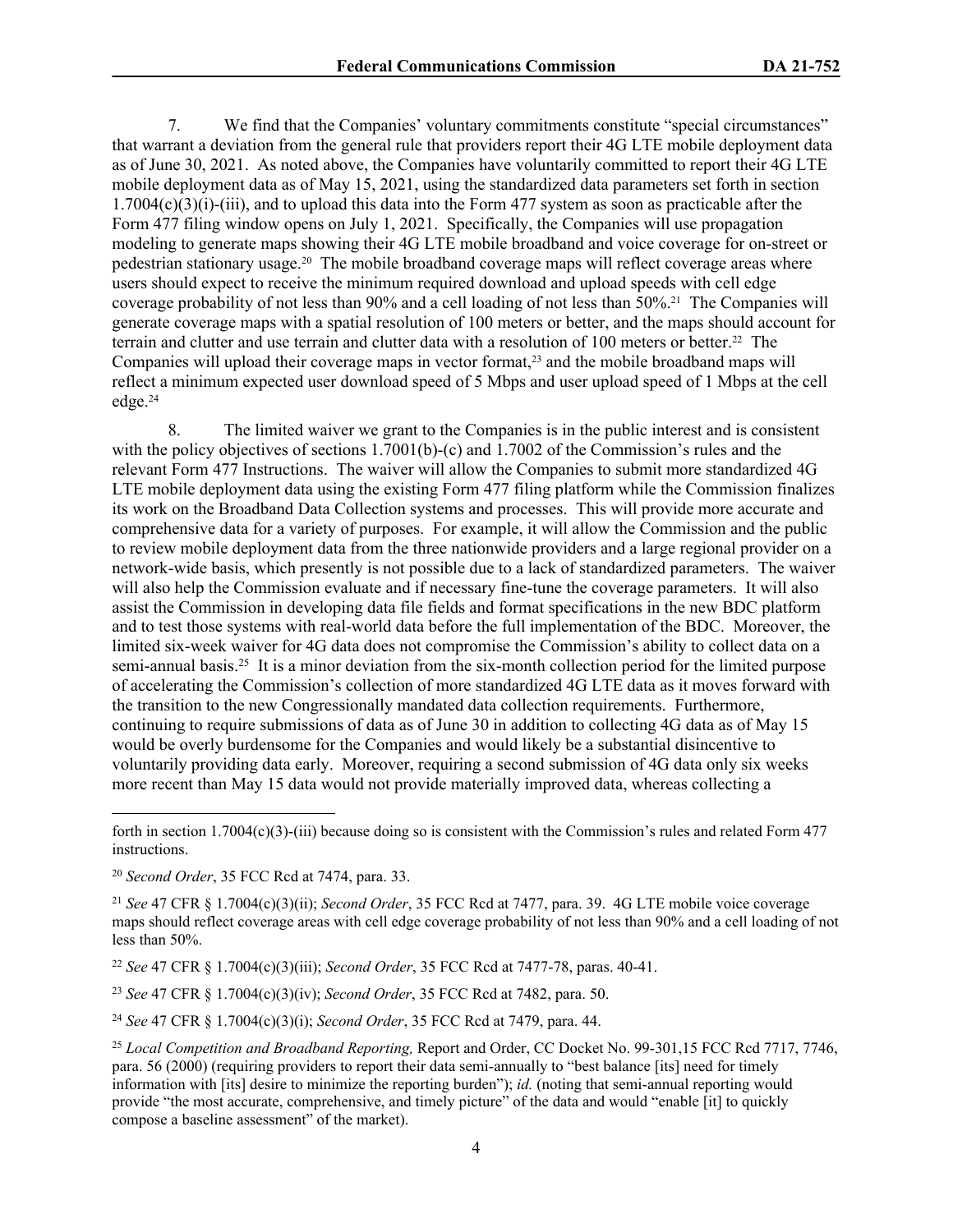7. We find that the Companies' voluntary commitments constitute "special circumstances" that warrant a deviation from the general rule that providers report their 4G LTE mobile deployment data as of June 30, 2021. As noted above, the Companies have voluntarily committed to report their 4G LTE mobile deployment data as of May 15, 2021, using the standardized data parameters set forth in section  $1.7004(c)(3)(i)-(iii)$ , and to upload this data into the Form 477 system as soon as practicable after the Form 477 filing window opens on July 1, 2021. Specifically, the Companies will use propagation modeling to generate maps showing their 4G LTE mobile broadband and voice coverage for on-street or pedestrian stationary usage.20 The mobile broadband coverage maps will reflect coverage areas where users should expect to receive the minimum required download and upload speeds with cell edge coverage probability of not less than 90% and a cell loading of not less than 50%.21 The Companies will generate coverage maps with a spatial resolution of 100 meters or better, and the maps should account for terrain and clutter and use terrain and clutter data with a resolution of 100 meters or better.22 The Companies will upload their coverage maps in vector format,<sup>23</sup> and the mobile broadband maps will reflect a minimum expected user download speed of 5 Mbps and user upload speed of 1 Mbps at the cell edge.<sup>24</sup>

8. The limited waiver we grant to the Companies is in the public interest and is consistent with the policy objectives of sections 1.7001(b)-(c) and 1.7002 of the Commission's rules and the relevant Form 477 Instructions. The waiver will allow the Companies to submit more standardized 4G LTE mobile deployment data using the existing Form 477 filing platform while the Commission finalizes its work on the Broadband Data Collection systems and processes. This will provide more accurate and comprehensive data for a variety of purposes. For example, it will allow the Commission and the public to review mobile deployment data from the three nationwide providers and a large regional provider on a network-wide basis, which presently is not possible due to a lack of standardized parameters. The waiver will also help the Commission evaluate and if necessary fine-tune the coverage parameters. It will also assist the Commission in developing data file fields and format specifications in the new BDC platform and to test those systems with real-world data before the full implementation of the BDC. Moreover, the limited six-week waiver for 4G data does not compromise the Commission's ability to collect data on a semi-annual basis.<sup>25</sup> It is a minor deviation from the six-month collection period for the limited purpose of accelerating the Commission's collection of more standardized 4G LTE data as it moves forward with the transition to the new Congressionally mandated data collection requirements. Furthermore, continuing to require submissions of data as of June 30 in addition to collecting 4G data as of May 15 would be overly burdensome for the Companies and would likely be a substantial disincentive to voluntarily providing data early. Moreover, requiring a second submission of 4G data only six weeks more recent than May 15 data would not provide materially improved data, whereas collecting a

<sup>22</sup> *See* 47 CFR § 1.7004(c)(3)(iii); *Second Order*, 35 FCC Rcd at 7477-78, paras. 40-41.

<sup>23</sup> *See* 47 CFR § 1.7004(c)(3)(iv); *Second Order*, 35 FCC Rcd at 7482, para. 50.

<sup>24</sup> *See* 47 CFR § 1.7004(c)(3)(i); *Second Order*, 35 FCC Rcd at 7479, para. 44.

forth in section  $1.7004(c)(3)$ -(iii) because doing so is consistent with the Commission's rules and related Form 477 instructions.

<sup>20</sup> *Second Order*, 35 FCC Rcd at 7474, para. 33.

<sup>21</sup> *See* 47 CFR § 1.7004(c)(3)(ii); *Second Order*, 35 FCC Rcd at 7477, para. 39. 4G LTE mobile voice coverage maps should reflect coverage areas with cell edge coverage probability of not less than 90% and a cell loading of not less than 50%.

<sup>25</sup> *Local Competition and Broadband Reporting,* Report and Order, CC Docket No. 99-301,15 FCC Rcd 7717, 7746, para. 56 (2000) (requiring providers to report their data semi-annually to "best balance [its] need for timely information with [its] desire to minimize the reporting burden"); *id.* (noting that semi-annual reporting would provide "the most accurate, comprehensive, and timely picture" of the data and would "enable [it] to quickly compose a baseline assessment" of the market).